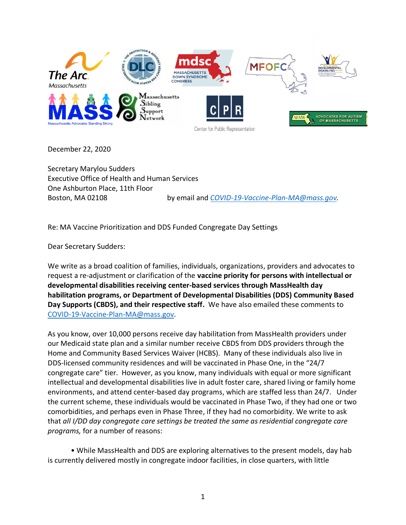

December 22, 2020

Secretary Marylou Sudders Executive Office of Health and Human Services One Ashburton Place, 11th Floor Boston, MA 02108 by email and *[COVID-19-Vaccine-Plan-MA@mass.gov.](mailto:COVID-19-Vaccine-Plan-MA@mass.gov)*

Re: MA Vaccine Prioritization and DDS Funded Congregate Day Settings

Dear Secretary Sudders:

We write as a broad coalition of families, individuals, organizations, providers and advocates to request a re-adjustment or clarification of the **vaccine priority for persons with intellectual or developmental disabilities receiving center-based services through MassHealth day habilitation programs, or Department of Developmental Disabilities (DDS) Community Based Day Supports (CBDS), and their respective staff.** We have also emailed these comments to [COVID-19-Vaccine-Plan-MA@mass.gov.](mailto:COVID-19-Vaccine-Plan-MA@mass.gov)

As you know, over 10,000 persons receive day habilitation from MassHealth providers under our Medicaid state plan and a similar number receive CBDS from DDS providers through the Home and Community Based Services Waiver (HCBS). Many of these individuals also live in DDS-licensed community residences and will be vaccinated in Phase One, in the "24/7 congregate care" tier. However, as you know, many individuals with equal or more significant intellectual and developmental disabilities live in adult foster care, shared living or family home environments, and attend center-based day programs, which are staffed less than 24/7. Under the current scheme, these individuals would be vaccinated in Phase Two, if they had one or two comorbidities, and perhaps even in Phase Three, if they had no comorbidity. We write to ask that *all I/DD day congregate care settings be treated the same as residential congregate care programs,* for a number of reasons:

 • While MassHealth and DDS are exploring alternatives to the present models, day hab is currently delivered mostly in congregate indoor facilities, in close quarters, with little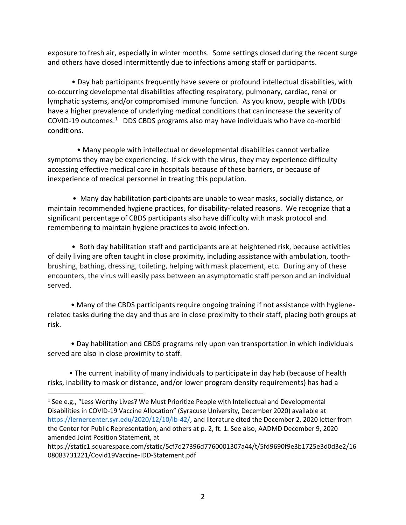exposure to fresh air, especially in winter months. Some settings closed during the recent surge and others have closed intermittently due to infections among staff or participants.

• Day hab participants frequently have severe or profound intellectual disabilities, with co-occurring developmental disabilities affecting respiratory, pulmonary, cardiac, renal or lymphatic systems, and/or compromised immune function. As you know, people with I/DDs have a higher prevalence of underlying medical conditions that can increase the severity of COVID-19 outcomes. $1$  DDS CBDS programs also may have individuals who have co-morbid conditions.

 • Many people with intellectual or developmental disabilities cannot verbalize symptoms they may be experiencing. If sick with the virus, they may experience difficulty accessing effective medical care in hospitals because of these barriers, or because of inexperience of medical personnel in treating this population.

 • Many day habilitation participants are unable to wear masks, socially distance, or maintain recommended hygiene practices, for disability-related reasons. We recognize that a significant percentage of CBDS participants also have difficulty with mask protocol and remembering to maintain hygiene practices to avoid infection.

• Both day habilitation staff and participants are at heightened risk, because activities of daily living are often taught in close proximity, including assistance with ambulation, toothbrushing, bathing, dressing, toileting, helping with mask placement, etc. During any of these encounters, the virus will easily pass between an asymptomatic staff person and an individual served.

 • Many of the CBDS participants require ongoing training if not assistance with hygienerelated tasks during the day and thus are in close proximity to their staff, placing both groups at risk.

 • Day habilitation and CBDS programs rely upon van transportation in which individuals served are also in close proximity to staff.

 • The current inability of many individuals to participate in day hab (because of health risks, inability to mask or distance, and/or lower program density requirements) has had a

<sup>&</sup>lt;sup>1</sup> See e.g., "Less Worthy Lives? We Must Prioritize People with Intellectual and Developmental Disabilities in COVID-19 Vaccine Allocation" (Syracuse University, December 2020) available at [https://lernercenter.syr.edu/2020/12/10/ib-42/,](https://lernercenter.syr.edu/2020/12/10/ib-42/) and literature cited the December 2, 2020 letter from the Center for Public Representation, and others at p. 2, ft. 1. See also, AADMD December 9, 2020 amended Joint Position Statement, at

https://static1.squarespace.com/static/5cf7d27396d7760001307a44/t/5fd9690f9e3b1725e3d0d3e2/16 08083731221/Covid19Vaccine-IDD-Statement.pdf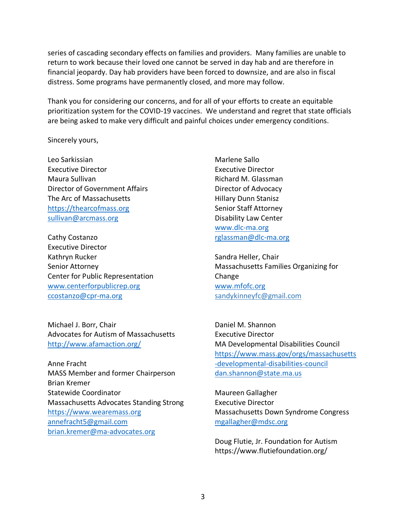series of cascading secondary effects on families and providers. Many families are unable to return to work because their loved one cannot be served in day hab and are therefore in financial jeopardy. Day hab providers have been forced to downsize, and are also in fiscal distress. Some programs have permanently closed, and more may follow.

Thank you for considering our concerns, and for all of your efforts to create an equitable prioritization system for the COVID-19 vaccines. We understand and regret that state officials are being asked to make very difficult and painful choices under emergency conditions.

Sincerely yours,

Leo Sarkissian Executive Director Maura Sullivan Director of Government Affairs The Arc of Massachusetts [https://thearcofmass.org](https://thearcofmass.org/) [sullivan@arcmass.org](mailto:sullivan@arcmass.org)

Cathy Costanzo Executive Director Kathryn Rucker Senior Attorney Center for Public Representation [www.centerforpublicrep.org](http://www.centerforpublicrep.org/) [ccostanzo@cpr-ma.org](mailto:ccostanzo@cpr-ma.org)

Michael J. Borr, Chair Advocates for Autism of Massachusetts <http://www.afamaction.org/>

Anne Fracht MASS Member and former Chairperson Brian Kremer Statewide Coordinator Massachusetts Advocates Standing Strong https://www.wearemass.org [annefracht5@gmail.com](mailto:annefracht5@gmail.com) [brian.kremer@ma-advocates.org](mailto:brian.kremer@ma-advocates.org)

Marlene Sallo Executive Director Richard M. Glassman Director of Advocacy Hillary Dunn Stanisz Senior Staff Attorney Disability Law Center [www.dlc-ma.org](http://www.dlc-ma.org/) [rglassman@dlc-ma.org](mailto:rglassman@dlc-ma.org)

Sandra Heller, Chair Massachusetts Families Organizing for Change [www.mfofc.org](http://www.mfofc.org/) sandykinneyfc@gmail.com

Daniel M. Shannon Executive Director MA Developmental Disabilities Council [https://www.mass.gov/orgs/massachusetts](https://www.mass.gov/orgs/massachusetts-developmental-disabilities-council) [-developmental-disabilities-council](https://www.mass.gov/orgs/massachusetts-developmental-disabilities-council) [dan.shannon@state.ma.us](mailto:dan.shannon@state.ma.us)

Maureen Gallagher Executive Director Massachusetts Down Syndrome Congress [mgallagher@mdsc.org](mailto:mgallagher@mdsc.org)

Doug Flutie, Jr. Foundation for Autism https://www.flutiefoundation.org/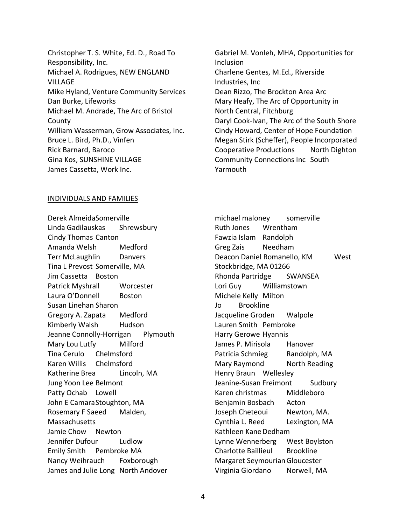Christopher T. S. White, Ed. D., Road To Responsibility, Inc. Michael A. Rodrigues, NEW ENGLAND VILLAGE Mike Hyland, Venture Community Services Dan Burke, Lifeworks Michael M. Andrade, The Arc of Bristol County William Wasserman, Grow Associates, Inc. Bruce L. Bird, Ph.D., Vinfen Rick Barnard, Baroco Gina Kos, SUNSHINE VILLAGE James Cassetta, Work Inc.

## Gabriel M. Vonleh, MHA, Opportunities for Inclusion Charlene Gentes, M.Ed., Riverside Industries, Inc Dean Rizzo, The Brockton Area Arc Mary Heafy, The Arc of Opportunity in North Central, Fitchburg Daryl Cook-Ivan, The Arc of the South Shore Cindy Howard, Center of Hope Foundation Megan Stirk (Scheffer), People Incorporated Cooperative Productions North Dighton Community Connections Inc South Yarmouth

## INDIVIDUALS AND FAMILIES

Derek AlmeidaSomerville Linda Gadilauskas Shrewsbury Cindy Thomas Canton Amanda Welsh Medford Terr McLaughlin Danvers Tina L Prevost Somerville, MA Jim Cassetta Boston Patrick Myshrall Worcester Laura O'Donnell Boston Susan Linehan Sharon Gregory A. Zapata Medford Kimberly Walsh Hudson Jeanne Connolly-Horrigan Plymouth Mary Lou Lutfy Milford Tina Cerulo Chelmsford Karen Willis Chelmsford Katherine Brea Lincoln, MA Jung Yoon Lee Belmont Patty Ochab Lowell John E CamaraStoughton, MA Rosemary F Saeed Malden, Massachusetts Jamie Chow Newton Jennifer Dufour Ludlow Emily Smith Pembroke MA Nancy Weihrauch Foxborough James and Julie Long North Andover

michael maloney somerville Ruth Jones Wrentham Fawzia Islam Randolph Greg Zais Needham Deacon Daniel Romanello, KM West Stockbridge, MA 01266 Rhonda Partridge SWANSEA Lori Guy Williamstown Michele Kelly Milton Jo Brookline Jacqueline Groden Walpole Lauren Smith Pembroke Harry Gerowe Hyannis James P. Mirisola Hanover Patricia Schmieg Randolph, MA Mary Raymond North Reading Henry Braun Wellesley Jeanine-Susan Freimont Sudbury Karen christmas Middleboro Benjamin Bosbach Acton Joseph Cheteoui Newton, MA. Cynthia L. Reed Lexington, MA Kathleen KaneDedham Lynne Wennerberg West Boylston Charlotte Baillieul Brookline Margaret SeymourianGloucester Virginia Giordano Norwell, MA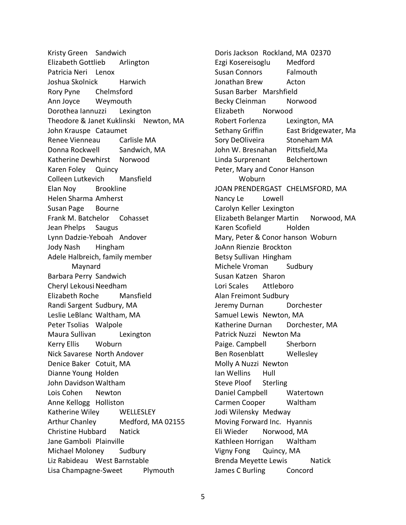Kristy Green Sandwich Elizabeth Gottlieb Arlington Patricia Neri Lenox Joshua Skolnick Harwich Rory Pyne Chelmsford Ann Joyce Weymouth Dorothea Iannuzzi Lexington Theodore & Janet Kuklinski Newton, MA John Krauspe Cataumet Renee Vienneau Carlisle MA Donna Rockwell Sandwich, MA Katherine Dewhirst Norwood Karen Foley Quincy Colleen Lutkevich Mansfield Elan Noy Brookline Helen Sharma Amherst Susan Page Bourne Frank M. Batchelor Cohasset Jean Phelps Saugus Lynn Dadzie-Yeboah Andover Jody Nash Hingham Adele Halbreich, family member Maynard Barbara Perry Sandwich Cheryl Lekousi Needham Elizabeth Roche Mansfield Randi Sargent Sudbury, MA Leslie LeBlanc Waltham, MA Peter Tsolias Walpole Maura Sullivan Lexington Kerry Ellis Woburn Nick Savarese North Andover Denice Baker Cotuit, MA Dianne Young Holden John DavidsonWaltham Lois Cohen Newton Anne Kellogg Holliston Katherine Wiley WELLESLEY Arthur Chanley Medford, MA 02155 Christine Hubbard Natick Jane Gamboli Plainville Michael Moloney Sudbury Liz Rabideau West Barnstable Lisa Champagne-Sweet Plymouth

Doris Jackson Rockland, MA 02370 Ezgi Kosereisoglu Medford Susan Connors Falmouth Jonathan Brew Acton Susan Barber Marshfield Becky Cleinman Norwood Elizabeth Norwood Robert Forlenza Lexington, MA Sethany Griffin East Bridgewater, Ma Sory DeOliveira Stoneham MA John W. Bresnahan Pittsfield,Ma Linda Surprenant Belchertown Peter, Mary and Conor Hanson Woburn JOAN PRENDERGAST CHELMSFORD, MA Nancy Le Lowell Carolyn Keller Lexington Elizabeth Belanger Martin Norwood, MA Karen Scofield Holden Mary, Peter & Conor hanson Woburn JoAnn Rienzie Brockton Betsy Sullivan Hingham Michele Vroman Sudbury Susan Katzen Sharon Lori Scales Attleboro Alan Freimont Sudbury Jeremy Durnan Dorchester Samuel Lewis Newton, MA Katherine Durnan Dorchester, MA Patrick Nuzzi Newton Ma Paige. Campbell Sherborn Ben Rosenblatt Wellesley Molly A Nuzzi Newton Ian Wellins Hull Steve Ploof Sterling Daniel Campbell Watertown Carmen Cooper Waltham Jodi Wilensky Medway Moving Forward Inc. Hyannis Eli Wieder Norwood, MA Kathleen Horrigan Waltham Vigny Fong Quincy, MA Brenda Meyette Lewis Natick James C Burling Concord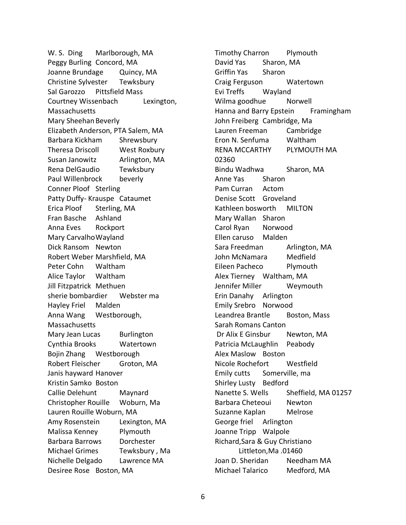W. S. Ding Marlborough, MA Peggy Burling Concord, MA Joanne Brundage Quincy, MA Christine Sylvester Tewksbury Sal Garozzo Pittsfield Mass Courtney Wissenbach Lexington, Massachusetts Mary Sheehan Beverly Elizabeth Anderson, PTA Salem, MA Barbara Kickham Shrewsbury Theresa Driscoll West Roxbury Susan Janowitz Arlington, MA Rena DelGaudio Tewksbury Paul Willenbrock beverly Conner Ploof Sterling Patty Duffy- Krauspe Cataumet Erica Ploof Sterling, MA Fran Basche Ashland Anna Eves Rockport Mary CarvalhoWayland Dick Ransom Newton Robert Weber Marshfield, MA Peter Cohn Waltham Alice Taylor Waltham Jill Fitzpatrick Methuen sherie bombardier Webster ma Hayley Friel Malden Anna Wang Westborough, Massachusetts Mary Jean Lucas Burlington Cynthia Brooks Watertown Bojin Zhang Westborough Robert Fleischer Groton, MA Janis hayward Hanover Kristin Samko Boston Callie Delehunt Maynard Christopher Rouille Woburn, Ma Lauren Rouille Woburn, MA Amy Rosenstein Lexington, MA Malissa Kenney Plymouth Barbara Barrows Dorchester Michael Grimes Tewksbury , Ma Nichelle Delgado Lawrence MA Desiree Rose Boston, MA

Timothy Charron Plymouth David Yas Sharon, MA Griffin Yas Sharon Craig Ferguson Watertown Evi Treffs Wayland Wilma goodhue Norwell Hanna and Barry Epstein Framingham John Freiberg Cambridge, Ma Lauren Freeman Cambridge Eron N. Senfuma Waltham RENA MCCARTHY PLYMOUTH MA 02360 Bindu Wadhwa Sharon, MA Anne Yas Sharon Pam Curran Actom Denise Scott Groveland Kathleen bosworth MILTON Mary Wallan Sharon Carol Ryan Norwood Ellen caruso Malden Sara Freedman Arlington, MA John McNamara Medfield Eileen Pacheco Plymouth Alex Tierney Waltham, MA Jennifer Miller Weymouth Erin Danahy Arlington Emily Srebro Norwood Leandrea Brantle Boston, Mass Sarah Romans Canton Dr Alix E Ginsbur Newton, MA Patricia McLaughlin Peabody Alex Maslow Boston Nicole Rochefort Westfield Emily cutts Somerville, ma Shirley Lusty Bedford Nanette S. Wells Sheffield, MA 01257 Barbara Cheteoui Newton Suzanne Kaplan Melrose George friel Arlington Joanne Tripp Walpole Richard,Sara & Guy Christiano Littleton,Ma .01460 Joan D. Sheridan Needham MA Michael Talarico Medford, MA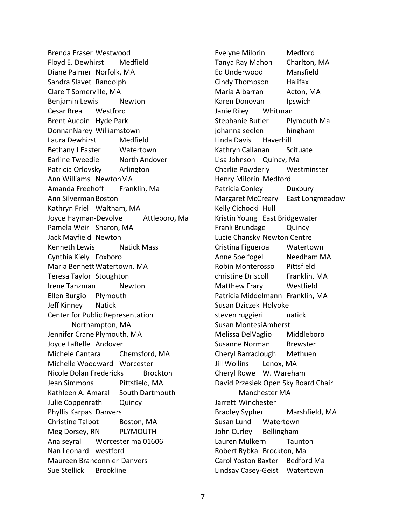Brenda Fraser Westwood Floyd E. Dewhirst Medfield Diane Palmer Norfolk, MA Sandra Slavet Randolph Clare T Somerville, MA Benjamin Lewis Newton Cesar Brea Westford Brent Aucoin Hyde Park DonnanNarey Williamstown Laura Dewhirst Medfield Bethany J Easter Watertown Earline Tweedie North Andover Patricia Orlovsky Arlington Ann Williams NewtonMA Amanda Freehoff Franklin, Ma Ann SilvermanBoston Kathryn Friel Waltham, MA Joyce Hayman-Devolve Attleboro, Ma Pamela Weir Sharon, MA Jack Mayfield Newton Kenneth Lewis Natick Mass Cynthia Kiely Foxboro Maria Bennett Watertown, MA Teresa Taylor Stoughton Irene Tanzman Newton Ellen Burgio Plymouth Jeff Kinney Natick Center for Public Representation Northampton, MA Jennifer Crane Plymouth, MA Joyce LaBelle Andover Michele Cantara Chemsford, MA Michelle Woodward Worcester Nicole Dolan Fredericks Brockton Jean Simmons Pittsfield, MA Kathleen A. Amaral South Dartmouth Julie Coppenrath Quincy Phyllis Karpas Danvers Christine Talbot Boston, MA Meg Dorsey, RN PLYMOUTH Ana seyral Worcester ma 01606 Nan Leonard westford Maureen Branconnier Danvers Sue Stellick Brookline

Evelyne Milorin Medford Tanya Ray Mahon Charlton, MA Ed Underwood Mansfield Cindy Thompson Halifax Maria Albarran Acton, MA Karen Donovan Ipswich Janie Riley Whitman Stephanie Butler Plymouth Ma johanna seelen hingham Linda Davis Haverhill Kathryn Callanan Scituate Lisa Johnson Quincy, Ma Charlie Powderly Westminster Henry Milorin Medford Patricia Conley Duxbury Margaret McCreary East Longmeadow Kelly Cichocki Hull Kristin Young East Bridgewater Frank Brundage Quincy Lucie Chansky Newton Centre Cristina Figueroa Watertown Anne Spelfogel Needham MA Robin Monterosso Pittsfield christine Driscoll Franklin, MA Matthew Frary Westfield Patricia Middelmann Franklin, MA Susan Dziczek Holyoke steven ruggieri natick Susan MontesiAmherst Melissa DelVaglio Middleboro Susanne Norman Brewster Cheryl Barraclough Methuen Jill Wollins Lenox, MA Cheryl Rowe W. Wareham David Przesiek Open Sky Board Chair Manchester MA Jarrett Winchester Bradley Sypher Marshfield, MA Susan Lund Watertown John Curley Bellingham Lauren Mulkern Taunton Robert Rybka Brockton, Ma Carol Yoston Baxter Bedford Ma Lindsay Casey-Geist Watertown